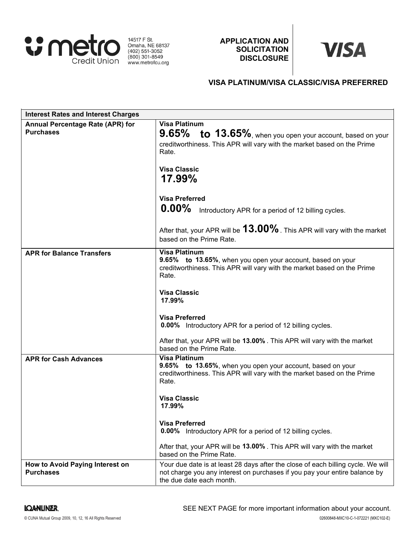

14517 F St.<br>
Omaha, NE 68137<br>
(402) 551-3052<br>
(800) 301-8549 www.metrofcu.org

APPLICATION AND **SOLICITATION DISCLOSURE** 

# **VISA**

# VISA PLATINUM/VISA CLASSIC/VISA PREFERRED

| <b>Interest Rates and Interest Charges</b>           |                                                                                                                                                                                                                                                                                                                                                                                                                                  |
|------------------------------------------------------|----------------------------------------------------------------------------------------------------------------------------------------------------------------------------------------------------------------------------------------------------------------------------------------------------------------------------------------------------------------------------------------------------------------------------------|
| Annual Percentage Rate (APR) for<br><b>Purchases</b> | <b>Visa Platinum</b><br>9.65% to 13.65%, when you open your account, based on your<br>creditworthiness. This APR will vary with the market based on the Prime<br>Rate.<br><b>Visa Classic</b><br>17.99%                                                                                                                                                                                                                          |
|                                                      | <b>Visa Preferred</b><br>$0.00\%$<br>Introductory APR for a period of 12 billing cycles.<br>After that, your APR will be $13.00\%$ . This APR will vary with the market<br>based on the Prime Rate.                                                                                                                                                                                                                              |
| <b>APR for Balance Transfers</b>                     | <b>Visa Platinum</b><br>9.65% to 13.65%, when you open your account, based on your<br>creditworthiness. This APR will vary with the market based on the Prime<br>Rate.<br><b>Visa Classic</b><br>17.99%<br><b>Visa Preferred</b><br>0.00% Introductory APR for a period of 12 billing cycles.<br>After that, your APR will be 13.00%. This APR will vary with the market                                                         |
| <b>APR for Cash Advances</b>                         | based on the Prime Rate.<br><b>Visa Platinum</b><br>9.65% to 13.65%, when you open your account, based on your<br>creditworthiness. This APR will vary with the market based on the Prime<br>Rate.<br><b>Visa Classic</b><br>17.99%<br><b>Visa Preferred</b><br>0.00% Introductory APR for a period of 12 billing cycles.<br>After that, your APR will be 13.00%. This APR will vary with the market<br>based on the Prime Rate. |
| How to Avoid Paying Interest on<br><b>Purchases</b>  | Your due date is at least 28 days after the close of each billing cycle. We will<br>not charge you any interest on purchases if you pay your entire balance by<br>the due date each month.                                                                                                                                                                                                                                       |